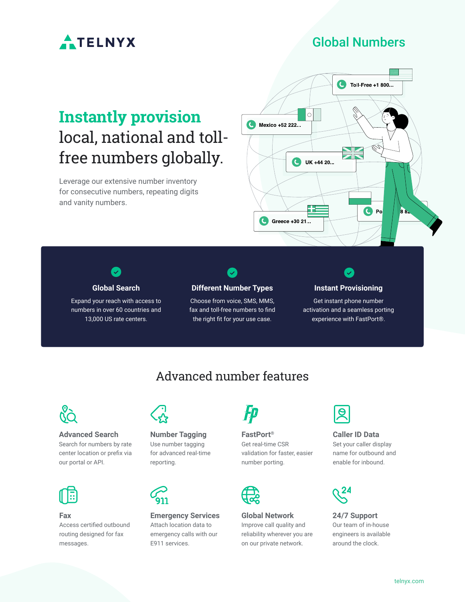

### Global Numbers

# **Instantly provision**  local, national and tollfree numbers globally.

Leverage our extensive number inventory for consecutive numbers, repeating digits and vanity numbers.





Expand your reach with access to numbers in over 60 countries and 13,000 US rate centers.



Choose from voice, SMS, MMS, fax and toll-free numbers to find the right fit for your use case.

### **Instant Provisioning**

Get instant phone number activation and a seamless porting experience with FastPort®.

## Advanced number features



### **Advanced Search**

Search for numbers by rate center location or prefix via our portal or API.



**Fax**

Access certified outbound routing designed for fax messages.



#### **Number Tagging** Use number tagging

for advanced real-time reporting.



**Emergency Services** Attach location data to emergency calls with our E911 services.



### **FastPort®**

Get real-time CSR validation for faster, easier number porting.



**Global Network** Improve call quality and reliability wherever you are on our private network.



## **Caller ID Data**

Set your caller display name for outbound and enable for inbound.



**24/7 Support** Our team of in-house engineers is available around the clock.